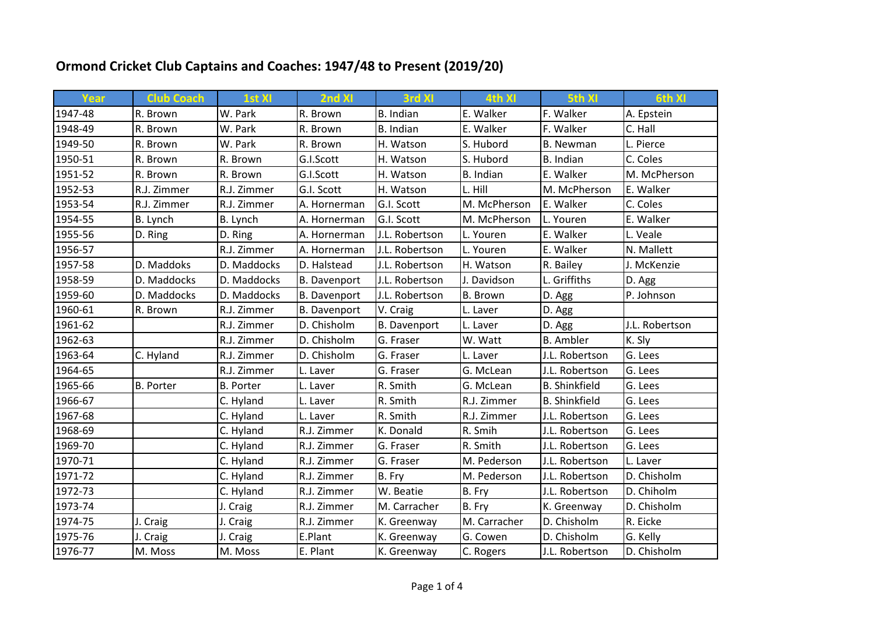## **Ormond Cricket Club Captains and Coaches: 1947/48 to Present (2019/20)**

| <b>Year</b> | <b>Club Coach</b> | 1st XI           | 2nd XI              | 3rd XI              | 4th XI          | 5th XI               | 6th XI         |
|-------------|-------------------|------------------|---------------------|---------------------|-----------------|----------------------|----------------|
| 1947-48     | R. Brown          | W. Park          | R. Brown            | B. Indian           | E. Walker       | F. Walker            | A. Epstein     |
| 1948-49     | R. Brown          | W. Park          | R. Brown            | <b>B.</b> Indian    | E. Walker       | F. Walker            | C. Hall        |
| 1949-50     | R. Brown          | W. Park          | R. Brown            | H. Watson           | S. Hubord       | <b>B.</b> Newman     | L. Pierce      |
| 1950-51     | R. Brown          | R. Brown         | G.I.Scott           | H. Watson           | S. Hubord       | B. Indian            | C. Coles       |
| 1951-52     | R. Brown          | R. Brown         | G.I.Scott           | H. Watson           | B. Indian       | E. Walker            | M. McPherson   |
| 1952-53     | R.J. Zimmer       | R.J. Zimmer      | G.I. Scott          | H. Watson           | L. Hill         | M. McPherson         | E. Walker      |
| 1953-54     | R.J. Zimmer       | R.J. Zimmer      | A. Hornerman        | G.I. Scott          | M. McPherson    | E. Walker            | C. Coles       |
| 1954-55     | B. Lynch          | B. Lynch         | A. Hornerman        | G.I. Scott          | M. McPherson    | L. Youren            | E. Walker      |
| 1955-56     | D. Ring           | D. Ring          | A. Hornerman        | J.L. Robertson      | L. Youren       | E. Walker            | L. Veale       |
| 1956-57     |                   | R.J. Zimmer      | A. Hornerman        | J.L. Robertson      | L. Youren       | E. Walker            | N. Mallett     |
| 1957-58     | D. Maddoks        | D. Maddocks      | D. Halstead         | J.L. Robertson      | H. Watson       | R. Bailey            | J. McKenzie    |
| 1958-59     | D. Maddocks       | D. Maddocks      | <b>B.</b> Davenport | J.L. Robertson      | J. Davidson     | L. Griffiths         | D. Agg         |
| 1959-60     | D. Maddocks       | D. Maddocks      | <b>B.</b> Davenport | J.L. Robertson      | <b>B.</b> Brown | D. Agg               | P. Johnson     |
| 1960-61     | R. Brown          | R.J. Zimmer      | <b>B.</b> Davenport | V. Craig            | L. Laver        | D. Agg               |                |
| 1961-62     |                   | R.J. Zimmer      | D. Chisholm         | <b>B.</b> Davenport | L. Laver        | D. Agg               | J.L. Robertson |
| 1962-63     |                   | R.J. Zimmer      | D. Chisholm         | G. Fraser           | W. Watt         | <b>B.</b> Ambler     | K. Sly         |
| 1963-64     | C. Hyland         | R.J. Zimmer      | D. Chisholm         | G. Fraser           | L. Laver        | J.L. Robertson       | G. Lees        |
| 1964-65     |                   | R.J. Zimmer      | L. Laver            | G. Fraser           | G. McLean       | J.L. Robertson       | G. Lees        |
| 1965-66     | <b>B. Porter</b>  | <b>B.</b> Porter | L. Laver            | R. Smith            | G. McLean       | <b>B.</b> Shinkfield | G. Lees        |
| 1966-67     |                   | C. Hyland        | L. Laver            | R. Smith            | R.J. Zimmer     | <b>B.</b> Shinkfield | G. Lees        |
| 1967-68     |                   | C. Hyland        | L. Laver            | R. Smith            | R.J. Zimmer     | J.L. Robertson       | G. Lees        |
| 1968-69     |                   | C. Hyland        | R.J. Zimmer         | K. Donald           | R. Smih         | J.L. Robertson       | G. Lees        |
| 1969-70     |                   | C. Hyland        | R.J. Zimmer         | G. Fraser           | R. Smith        | J.L. Robertson       | G. Lees        |
| 1970-71     |                   | C. Hyland        | R.J. Zimmer         | G. Fraser           | M. Pederson     | J.L. Robertson       | L. Laver       |
| 1971-72     |                   | C. Hyland        | R.J. Zimmer         | B. Fry              | M. Pederson     | J.L. Robertson       | D. Chisholm    |
| 1972-73     |                   | C. Hyland        | R.J. Zimmer         | W. Beatie           | B. Fry          | J.L. Robertson       | D. Chiholm     |
| 1973-74     |                   | J. Craig         | R.J. Zimmer         | M. Carracher        | B. Fry          | K. Greenway          | D. Chisholm    |
| 1974-75     | J. Craig          | J. Craig         | R.J. Zimmer         | K. Greenway         | M. Carracher    | D. Chisholm          | R. Eicke       |
| 1975-76     | J. Craig          | J. Craig         | E.Plant             | K. Greenway         | G. Cowen        | D. Chisholm          | G. Kelly       |
| 1976-77     | M. Moss           | M. Moss          | E. Plant            | K. Greenway         | C. Rogers       | J.L. Robertson       | D. Chisholm    |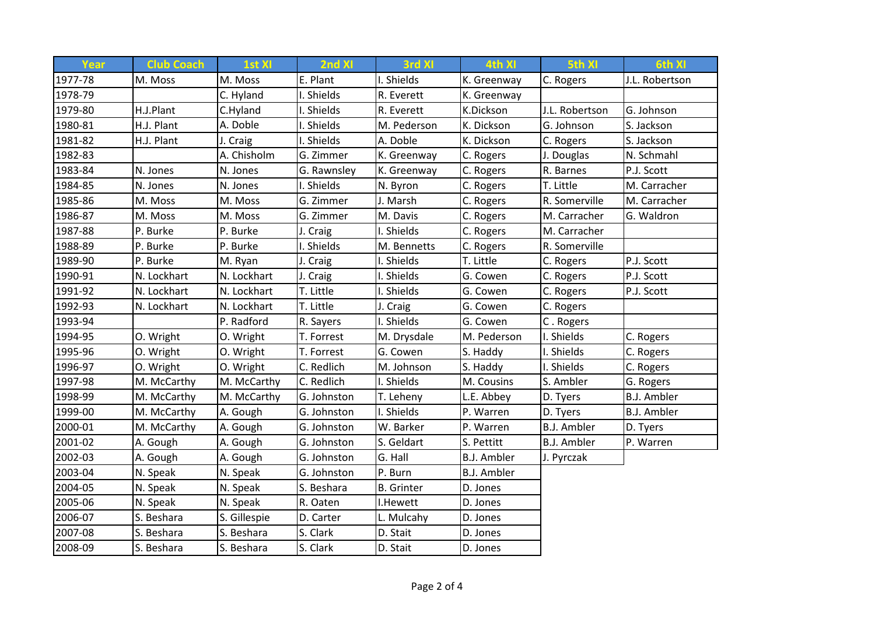| <b>Year</b> | <b>Club Coach</b> | 1st XI       | 2nd XI      | 3rd XI            | 4th XI             | 5th XI             | 6th XI             |
|-------------|-------------------|--------------|-------------|-------------------|--------------------|--------------------|--------------------|
| 1977-78     | M. Moss           | M. Moss      | E. Plant    | I. Shields        | K. Greenway        | C. Rogers          | J.L. Robertson     |
| 1978-79     |                   | C. Hyland    | I. Shields  | R. Everett        | K. Greenway        |                    |                    |
| 1979-80     | H.J.Plant         | C.Hyland     | I. Shields  | R. Everett        | K.Dickson          | J.L. Robertson     | G. Johnson         |
| 1980-81     | H.J. Plant        | A. Doble     | I. Shields  | M. Pederson       | K. Dickson         | G. Johnson         | S. Jackson         |
| 1981-82     | H.J. Plant        | J. Craig     | I. Shields  | A. Doble          | K. Dickson         | C. Rogers          | S. Jackson         |
| 1982-83     |                   | A. Chisholm  | G. Zimmer   | K. Greenway       | C. Rogers          | J. Douglas         | N. Schmahl         |
| 1983-84     | N. Jones          | N. Jones     | G. Rawnsley | K. Greenway       | C. Rogers          | R. Barnes          | P.J. Scott         |
| 1984-85     | N. Jones          | N. Jones     | I. Shields  | N. Byron          | C. Rogers          | T. Little          | M. Carracher       |
| 1985-86     | M. Moss           | M. Moss      | G. Zimmer   | J. Marsh          | C. Rogers          | R. Somerville      | M. Carracher       |
| 1986-87     | M. Moss           | M. Moss      | G. Zimmer   | M. Davis          | C. Rogers          | M. Carracher       | G. Waldron         |
| 1987-88     | P. Burke          | P. Burke     | J. Craig    | I. Shields        | C. Rogers          | M. Carracher       |                    |
| 1988-89     | P. Burke          | P. Burke     | I. Shields  | M. Bennetts       | C. Rogers          | R. Somerville      |                    |
| 1989-90     | P. Burke          | M. Ryan      | J. Craig    | I. Shields        | T. Little          | C. Rogers          | P.J. Scott         |
| 1990-91     | N. Lockhart       | N. Lockhart  | J. Craig    | I. Shields        | G. Cowen           | C. Rogers          | P.J. Scott         |
| 1991-92     | N. Lockhart       | N. Lockhart  | T. Little   | I. Shields        | G. Cowen           | C. Rogers          | P.J. Scott         |
| 1992-93     | N. Lockhart       | N. Lockhart  | T. Little   | J. Craig          | G. Cowen           | C. Rogers          |                    |
| 1993-94     |                   | P. Radford   | R. Sayers   | I. Shields        | G. Cowen           | C. Rogers          |                    |
| 1994-95     | O. Wright         | O. Wright    | T. Forrest  | M. Drysdale       | M. Pederson        | I. Shields         | C. Rogers          |
| 1995-96     | O. Wright         | O. Wright    | T. Forrest  | G. Cowen          | S. Haddy           | I. Shields         | C. Rogers          |
| 1996-97     | O. Wright         | O. Wright    | C. Redlich  | M. Johnson        | S. Haddy           | I. Shields         | C. Rogers          |
| 1997-98     | M. McCarthy       | M. McCarthy  | C. Redlich  | I. Shields        | M. Cousins         | S. Ambler          | G. Rogers          |
| 1998-99     | M. McCarthy       | M. McCarthy  | G. Johnston | T. Leheny         | L.E. Abbey         | D. Tyers           | <b>B.J. Ambler</b> |
| 1999-00     | M. McCarthy       | A. Gough     | G. Johnston | I. Shields        | P. Warren          | D. Tyers           | <b>B.J. Ambler</b> |
| 2000-01     | M. McCarthy       | A. Gough     | G. Johnston | W. Barker         | P. Warren          | <b>B.J. Ambler</b> | D. Tyers           |
| 2001-02     | A. Gough          | A. Gough     | G. Johnston | S. Geldart        | S. Pettitt         | <b>B.J. Ambler</b> | P. Warren          |
| 2002-03     | A. Gough          | A. Gough     | G. Johnston | G. Hall           | <b>B.J. Ambler</b> | J. Pyrczak         |                    |
| 2003-04     | N. Speak          | N. Speak     | G. Johnston | P. Burn           | <b>B.J. Ambler</b> |                    |                    |
| 2004-05     | N. Speak          | N. Speak     | S. Beshara  | <b>B.</b> Grinter | D. Jones           |                    |                    |
| 2005-06     | N. Speak          | N. Speak     | R. Oaten    | I.Hewett          | D. Jones           |                    |                    |
| 2006-07     | S. Beshara        | S. Gillespie | D. Carter   | L. Mulcahy        | D. Jones           |                    |                    |
| 2007-08     | S. Beshara        | S. Beshara   | S. Clark    | D. Stait          | D. Jones           |                    |                    |
| 2008-09     | S. Beshara        | S. Beshara   | S. Clark    | D. Stait          | D. Jones           |                    |                    |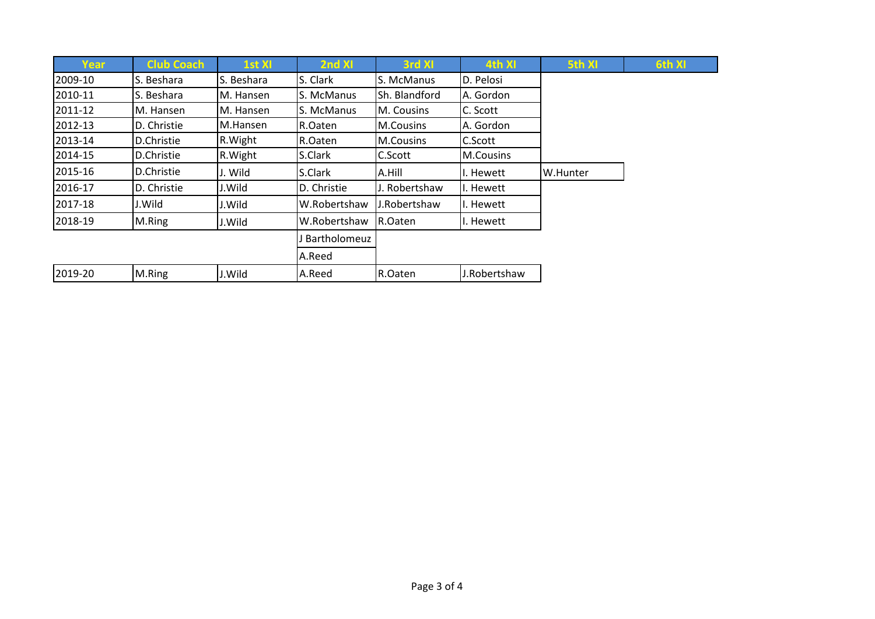| <b>Year</b> | <b>Club Coach</b> | 1st XI     | 2nd XI       | 3rd XI        | 4th XI       | 5th XI   | 6th XI |
|-------------|-------------------|------------|--------------|---------------|--------------|----------|--------|
| 2009-10     | S. Beshara        | S. Beshara | S. Clark     | S. McManus    | D. Pelosi    |          |        |
| 2010-11     | lS. Beshara       | M. Hansen  | S. McManus   | Sh. Blandford | A. Gordon    |          |        |
| 2011-12     | M. Hansen         | M. Hansen  | S. McManus   | M. Cousins    | C. Scott     |          |        |
| 2012-13     | D. Christie       | M.Hansen   | R.Oaten      | M.Cousins     | A. Gordon    |          |        |
| 2013-14     | D.Christie        | R. Wight   | R.Oaten      | M.Cousins     | C.Scott      |          |        |
| 2014-15     | D.Christie        | R. Wight   | S.Clark      | C.Scott       | M.Cousins    |          |        |
| 2015-16     | D.Christie        | J. Wild    | S.Clark      | A.Hill        | . Hewett     | W.Hunter |        |
| 2016-17     | D. Christie       | J.Wild     | D. Christie  | J. Robertshaw | Hewett       |          |        |
| 2017-18     | J.Wild            | J.Wild     | W.Robertshaw | J.Robertshaw  | Hewett       |          |        |
| 2018-19     | M.Ring            | J.Wild     | W.Robertshaw | R.Oaten       | I. Hewett    |          |        |
|             |                   |            | Bartholomeuz |               |              |          |        |
|             |                   |            | A.Reed       |               |              |          |        |
| 2019-20     | M.Ring            | J.Wild     | A.Reed       | R.Oaten       | J.Robertshaw |          |        |